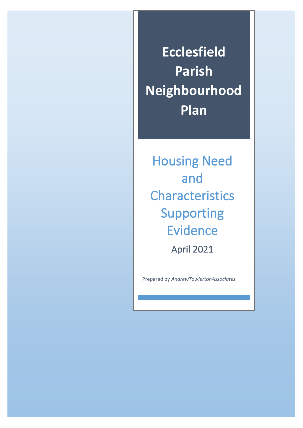**Ecclesfield Parish Neighbourhood Plan**

Housing Need and Characteristics Supporting Evidence

April 2021

Prepared by *AndrewTowlertonAssociates*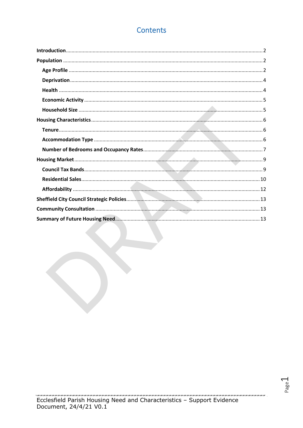# **Contents**

Page

u*cancan an cancancan can*can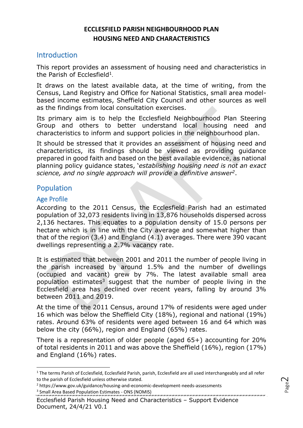## **ECCLESFIELD PARISH NEIGHBOURHOOD PLAN HOUSING NEED AND CHARACTERISTICS**

### <span id="page-2-0"></span>Introduction

This report provides an assessment of housing need and characteristics in the Parish of Ecclesfield<sup>1</sup>.

It draws on the latest available data, at the time of writing, from the Census, Land Registry and Office for National Statistics, small area modelbased income estimates, Sheffield City Council and other sources as well as the findings from local consultation exercises.

Its primary aim is to help the Ecclesfield Neighbourhood Plan Steering Group and others to better understand local housing need and characteristics to inform and support policies in the neighbourhood plan.

It should be stressed that it provides an assessment of housing need and characteristics, its findings should be viewed as providing guidance prepared in good faith and based on the best available evidence, as national planning policy guidance states, '*establishing housing need is not an exact science, and no single approach will provide a definitive answer<sup>2</sup>* .

## <span id="page-2-1"></span>Population

### <span id="page-2-2"></span>Age Profile

According to the 2011 Census, the Ecclesfield Parish had an estimated population of 32,073 residents living in 13,876 households dispersed across 2,136 hectares. This equates to a population density of 15.0 persons per hectare which is in line with the City average and somewhat higher than that of the region (3.4) and England (4.1) averages. There were 390 vacant dwellings representing a 2.7% vacancy rate.

It is estimated that between 2001 and 2011 the number of people living in the parish increased by around 1.5% and the number of dwellings (occupied and vacant) grew by 7%. The latest available small area population estimates<sup>3</sup> suggest that the number of people living in the Ecclesfield area has declined over recent years, falling by around 3% between 2011 and 2019.

At the time of the 2011 Census, around 17% of residents were aged under 16 which was below the Sheffield City (18%), regional and national (19%) rates. Around 63% of residents were aged between 16 and 64 which was below the city (66%), region and England (65%) rates.

There is a representation of older people (aged 65+) accounting for 20% of total residents in 2011 and was above the Sheffield (16%), region (17%) and England (16%) rates.

<sup>&</sup>lt;sup>1</sup> The terms Parish of Ecclesfield, Ecclesfield Parish, parish, Ecclesfield are all used interchangeably and all refer to the parish of Ecclesfield unless otherwise stated.

<sup>2</sup> https://www.gov.uk/guidance/housing-and-economic-development-needs-assessments <sup>3</sup> Small Area Based Population Estimates - ONS (NOMIS)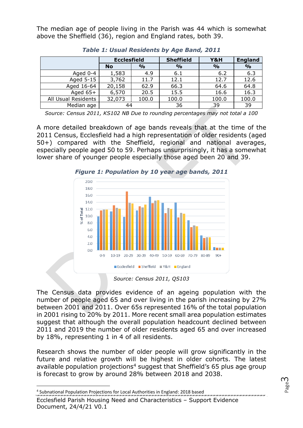The median age of people living in the Parish was 44 which is somewhat above the Sheffield (36), region and England rates, both 39.

|                     | <b>Ecclesfield</b> |               | <b>Sheffield</b> | Y&H           | <b>England</b> |
|---------------------|--------------------|---------------|------------------|---------------|----------------|
|                     | <b>No</b>          | $\frac{0}{0}$ | $\frac{0}{0}$    | $\frac{6}{6}$ | $\frac{9}{6}$  |
| Aged 0-4            | 1,583              | 4.9           | 6.1              | 6.2           | 6.3            |
| Aged 5-15           | 3,762              | 11.7          | 12.1             | 12.7          | 12.6           |
| Aged 16-64          | 20,158             | 62.9          | 66.3             | 64.6          | 64.8           |
| Aged $65+$          | 6,570              | 20.5          | 15.5             | 16.6          | 16.3           |
| All Usual Residents | 32,073             | 100.0         | 100.0            | 100.0         | 100.0          |
| Median age          | 44                 |               | 36               | 39            | 39             |

*Table 1: Usual Residents by Age Band, 2011*

*Source: Census 2011, KS102 NB Due to rounding percentages may not total a 100*

A more detailed breakdown of age bands reveals that at the time of the 2011 Census, Ecclesfield had a high representation of older residents (aged 50+) compared with the Sheffield, regional and national averages, especially people aged 50 to 59. Perhaps unsurprisingly, it has a somewhat lower share of younger people especially those aged been 20 and 39.



*Figure 1: Population by 10 year age bands, 2011*

*Source: Census 2011, QS103*

The Census data provides evidence of an ageing population with the number of people aged 65 and over living in the parish increasing by 27% between 2001 and 2011. Over 65s represented 16% of the total population in 2001 rising to 20% by 2011. More recent small area population estimates suggest that although the overall population headcount declined between 2011 and 2019 the number of older residents aged 65 and over increased by 18%, representing 1 in 4 of all residents.

Research shows the number of older people will grow significantly in the future and relative growth will be highest in older cohorts. The latest available population projections<sup>4</sup> suggest that Sheffield's 65 plus age group is forecast to grow by around 28% between 2018 and 2038.

<sup>4</sup> Subnational Population Projections for Local Authorities in England: 2018 based

Ecclesfield Parish Housing Need and Characteristics – Support Evidence Document, 24/4/21 V0.1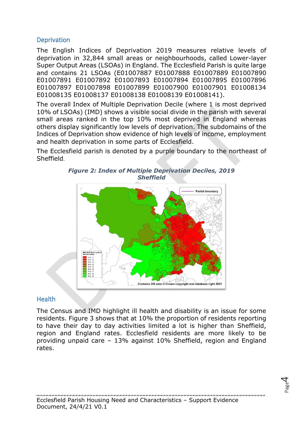### <span id="page-4-0"></span>**Deprivation**

The English Indices of Deprivation 2019 measures relative levels of deprivation in 32,844 small areas or neighbourhoods, called Lower-layer Super Output Areas (LSOAs) in England. The Ecclesfield Parish is quite large and contains 21 LSOAs (E01007887 E01007888 E01007889 E01007890 E01007891 E01007892 E01007893 E01007894 E01007895 E01007896 E01007897 E01007898 E01007899 E01007900 E01007901 E01008134 E01008135 E01008137 E01008138 E01008139 E01008141).

The overall Index of Multiple Deprivation Decile (where 1 is most deprived 10% of LSOAs) (IMD) shows a visible social divide in the parish with several small areas ranked in the top 10% most deprived in England whereas others display significantly low levels of deprivation. The subdomains of the Indices of Deprivation show evidence of high levels of income, employment and health deprivation in some parts of Ecclesfield.

The Ecclesfield parish is denoted by a purple boundary to the northeast of Sheffield.



#### *Figure 2: Index of Multiple Deprivation Deciles, 2019 Sheffield*

# <span id="page-4-1"></span>**Health**

The Census and IMD highlight ill health and disability is an issue for some residents. [Figure 3](#page-5-3) shows that at 10% the proportion of residents reporting to have their day to day activities limited a lot is higher than Sheffield, region and England rates. Ecclesfield residents are more likely to be providing unpaid care – 13% against 10% Sheffield, region and England rates.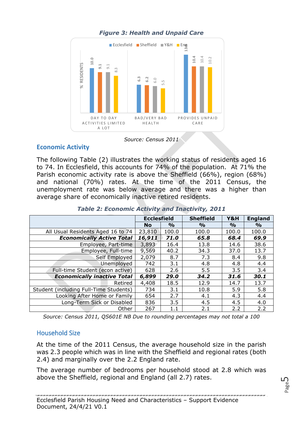

## *Figure 3: Health and Unpaid Care*

*Source: Census 2011*

### <span id="page-5-0"></span>**Economic Activity**

<span id="page-5-3"></span>

|                                                                                                                                                                                                                                                                                                                                                                                                                                        |     |                                             | E ECCIESTIEIQ SNEITIEIQ IIII Yŏ∪H Engo |                                                 |                        |                        |  |
|----------------------------------------------------------------------------------------------------------------------------------------------------------------------------------------------------------------------------------------------------------------------------------------------------------------------------------------------------------------------------------------------------------------------------------------|-----|---------------------------------------------|----------------------------------------|-------------------------------------------------|------------------------|------------------------|--|
| 10.0<br>% RESIDENTS<br>9.1<br>9.1<br>$\infty$<br>DAY TO DAY<br>ACTIVITIES LIMITED                                                                                                                                                                                                                                                                                                                                                      | 6.3 | 6.2<br>G.O<br>BAD/VERY BAD<br><b>HEALTH</b> |                                        | 10.4<br>10.4<br>10.2<br>PROVIDES UNPAID<br>CARE |                        |                        |  |
| A LOT                                                                                                                                                                                                                                                                                                                                                                                                                                  |     |                                             |                                        |                                                 |                        |                        |  |
|                                                                                                                                                                                                                                                                                                                                                                                                                                        |     | Source: Census 2011                         |                                        |                                                 |                        |                        |  |
| <b>Economic Activity</b>                                                                                                                                                                                                                                                                                                                                                                                                               |     |                                             |                                        |                                                 |                        |                        |  |
| The following Table (2) illustrates the working status of residents aged 16<br>to 74. In Ecclesfield, this accounts for 74% of the population. At 71% the<br>Parish economic activity rate is above the Sheffield (66%), region (68%)<br>and national (70%) rates. At the time of the 2011 Census, the<br>unemployment rate was below average and there was a higher than<br>average share of economically inactive retired residents. |     |                                             |                                        |                                                 |                        |                        |  |
| Table 2: Economic Activity and Inactivity, 2011                                                                                                                                                                                                                                                                                                                                                                                        |     |                                             |                                        |                                                 |                        |                        |  |
|                                                                                                                                                                                                                                                                                                                                                                                                                                        |     |                                             |                                        |                                                 |                        |                        |  |
|                                                                                                                                                                                                                                                                                                                                                                                                                                        |     | <b>Ecclesfield</b>                          |                                        | <b>Sheffield</b>                                | Y&H                    | <b>England</b>         |  |
|                                                                                                                                                                                                                                                                                                                                                                                                                                        |     | <b>No</b><br>23,810                         | $\frac{1}{2}$<br>100.0                 | $\frac{9}{0}$<br>100.0                          | $\frac{1}{2}$<br>100.0 | $\frac{1}{2}$<br>100.0 |  |
| All Usual Residents Aged 16 to 74<br><b>Economically Active Total</b>                                                                                                                                                                                                                                                                                                                                                                  |     | 16,911                                      | 71.0                                   | 65.8                                            | 68.4                   | 69.9                   |  |
| Employee, Part-time                                                                                                                                                                                                                                                                                                                                                                                                                    |     | 3,893                                       | 16.4                                   | 13.8                                            | 14.6                   | 38.6                   |  |
| Employee, Full-time                                                                                                                                                                                                                                                                                                                                                                                                                    |     | 9,569                                       | 40.2                                   | 34.3                                            | 37.0                   | 13.7                   |  |
| Self Employed                                                                                                                                                                                                                                                                                                                                                                                                                          |     | 2,079                                       | 8.7                                    | 7.3                                             | 8.4                    | 9.8                    |  |
| Unemployed                                                                                                                                                                                                                                                                                                                                                                                                                             |     | 742                                         | 3.1                                    | 4.8                                             | 4.8                    | 4.4                    |  |
| Full-time Student (econ active)                                                                                                                                                                                                                                                                                                                                                                                                        |     | 628                                         | 2.6                                    | 5.5                                             | 3.5                    | 3.4                    |  |
| <b>Economically inactive Total</b>                                                                                                                                                                                                                                                                                                                                                                                                     |     | 6,899                                       | 29.0                                   | 34.2                                            | 31.6                   | 30.1                   |  |
| Retired                                                                                                                                                                                                                                                                                                                                                                                                                                |     | 4,408                                       | 18.5                                   | 12.9                                            | 14.7                   | 13.7                   |  |
| Student (including Full-Time Students)<br>Looking After Home or Family                                                                                                                                                                                                                                                                                                                                                                 |     | 734<br>654                                  | 3.1<br>2.7                             | 10.8<br>4.1                                     | 5.9<br>4.3             | 5.8<br>4.4             |  |
| Long-Term Sick or Disabled                                                                                                                                                                                                                                                                                                                                                                                                             |     | 836                                         | 3.5                                    | 4.5                                             | 4.5                    | 4.0                    |  |
| Other<br>Source: Census 2011, QS601E NB Due to rounding percentages may not total a 100                                                                                                                                                                                                                                                                                                                                                |     | 267                                         | 1.1                                    | 2.1                                             | 2.2                    | 2.2                    |  |

|  | <b>Table 2: Economic Activity and Inactivity, 2011</b> |  |  |  |  |
|--|--------------------------------------------------------|--|--|--|--|
|--|--------------------------------------------------------|--|--|--|--|

### <span id="page-5-1"></span>Household Size

<span id="page-5-2"></span>The average number of bedrooms per household stood at 2.8 which was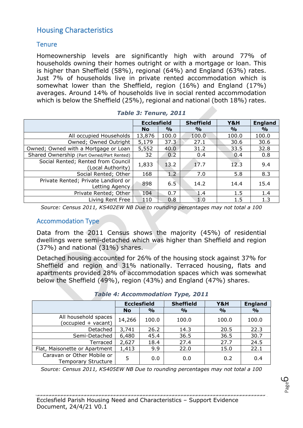# Housing Characteristics

### <span id="page-6-0"></span>**Tenure**

Homeownership levels are significantly high with around 77% of households owning their homes outright or with a mortgage or loan. This is higher than Sheffield (58%), regional (64%) and England (63%) rates. Just 7% of households live in private rented accommodation which is somewhat lower than the Sheffield, region (16%) and England (17%) averages. Around 14% of households live in social rented accommodation which is below the Sheffield (25%), regional and national (both 18%) rates.

|                                                         | <b>Ecclesfield</b> |               | <b>Sheffield</b> | Y&H           | <b>England</b> |
|---------------------------------------------------------|--------------------|---------------|------------------|---------------|----------------|
|                                                         | <b>No</b>          | $\frac{0}{0}$ | $\frac{0}{0}$    | $\frac{6}{6}$ | $\frac{0}{0}$  |
| All occupied Households                                 | 13,876             | 100.0         | 100.0            | 100.0         | 100.0          |
| Owned; Owned Outright                                   | 5,179              | 37.3          | 27.1             | 30.6          | 30.6           |
| Owned; Owned with a Mortgage or Loan                    | 5,552              | 40.0          | 31.2             | 33.5          | 32.8           |
| Shared Ownership (Part Owned/Part Rented)               | 32                 | 0.2           | 0.4              | 0.4           | 0.8            |
| Social Rented; Rented from Council<br>(Local Authority) | 1,833              | 13.2          | 17.7             | 12.3          | 9.4            |
| Social Rented; Other                                    | 168                | 1.2           | 7.0              | 5.8           | 8.3            |
| Private Rented; Private Landlord or<br>Letting Agency   | 898                | 6.5           | 14.2             | 14.4          | 15.4           |
| Private Rented; Other                                   | 104                | 0.7           | 1.4              | 1.5           | 1.4            |
| Living Rent Free                                        | 110                | 0.8           | 1.0              | 1.5           | 1.3            |

|  |  | Table 3: Tenure, 2011 |  |
|--|--|-----------------------|--|
|--|--|-----------------------|--|

*Source: Census 2011, KS402EW NB Due to rounding percentages may not total a 100*

#### <span id="page-6-1"></span>Accommodation Type

Data from the 2011 Census shows the majority (45%) of residential dwellings were semi-detached which was higher than Sheffield and region (37%) and national (31%) shares.

Detached housing accounted for 26% of the housing stock against 37% for Sheffield and region and 31% nationally. Terraced housing, flats and apartments provided 28% of accommodation spaces which was somewhat below the Sheffield (49%), region (43%) and England (47%) shares.

|                                                          | <b>Ecclesfield</b> |               | <b>Sheffield</b> | Y&H           | <b>England</b> |
|----------------------------------------------------------|--------------------|---------------|------------------|---------------|----------------|
|                                                          | <b>No</b>          | $\frac{9}{6}$ | $\frac{6}{6}$    | $\frac{1}{2}$ | $\frac{9}{0}$  |
| All household spaces<br>(occupied + vacant)              | 14,266             | 100.0         | 100.0            | 100.0         | 100.0          |
| Detached                                                 | 3,741              | 26.2          | 14.3             | 20.5          | 22.3           |
| Semi-Detached                                            | 6,480              | 45.4          | 36.5             | 36.5          | 30.7           |
| Terraced                                                 | 2,627              | 18.4          | 27.4             | 27.7          | 24.5           |
| Flat, Maisonette or Apartment                            | 1,413              | 9.9           | 22.0             | 15.0          | 22.1           |
| Caravan or Other Mobile or<br><b>Temporary Structure</b> | 5                  | 0.0           | 0.0              | 0.2           | 0.4            |

#### *Table 4: Accommodation Type, 2011*

*Source: Census 2011, KS405EW NB Due to rounding percentages may not total a 100*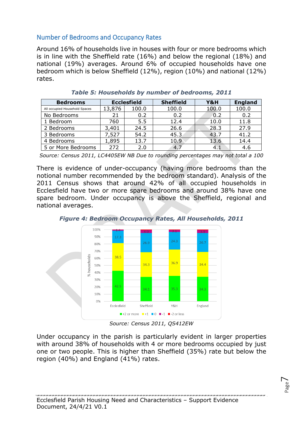## <span id="page-7-0"></span>Number of Bedrooms and Occupancy Rates

Around 16% of households live in houses with four or more bedrooms which is in line with the Sheffield rate (16%) and below the regional (18%) and national (19%) averages. Around 6% of occupied households have one bedroom which is below Sheffield (12%), region (10%) and national (12%) rates.

| <b>Bedrooms</b>               | <b>Ecclesfield</b> |       | <b>Sheffield</b> | Y&H   | <b>England</b> |
|-------------------------------|--------------------|-------|------------------|-------|----------------|
| All occupied Household Spaces | 13,876             | 100.0 | 100.0            | 100.0 | 100.0          |
| No Bedrooms                   | 21                 | 0.2   | 0.2              | 0.2   | 0.2            |
| 1 Bedroom                     | 760                | 5.5   | 12.4             | 10.0  | 11.8           |
| 2 Bedrooms                    | 3,401              | 24.5  | 26.6             | 28.3  | 27.9           |
| 3 Bedrooms                    | 7,527              | 54.2  | 45.3             | 43.7  | 41.2           |
| 4 Bedrooms                    | 1,895              | 13.7  | 10.9             | 13.6  | 14.4           |
| 5 or More Bedrooms            | 272                | 2.0   | 4.7              | 4.1   | 4.6            |

*Table 5: Households by number of bedrooms, 2011*

*Source: Census 2011, LC4405EW NB Due to rounding percentages may not total a 100*

There is evidence of under-occupancy (having more bedrooms than the notional number recommended by the bedroom standard). Analysis of the 2011 Census shows that around 42% of all occupied households in Ecclesfield have two or more spare bedrooms and around 38% have one spare bedroom. Under occupancy is above the Sheffield, regional and national averages.



*Figure 4: Bedroom Occupancy Rates, All Households, 2011*

*Source: Census 2011, QS412EW*

Under occupancy in the parish is particularly evident in larger properties with around 38% of households with 4 or more bedrooms occupied by just one or two people. This is higher than Sheffield (35%) rate but below the region (40%) and England (41%) rates.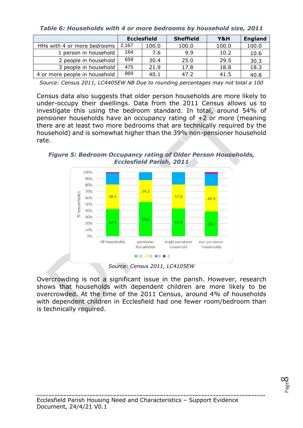*Table 6: Households with 4 or more bedrooms by household size, 2011*

|                               | <b>Ecclesfield</b> |       | <b>Sheffield</b> | Y&H   | <b>England</b> |
|-------------------------------|--------------------|-------|------------------|-------|----------------|
| HHs with 4 or more bedrooms   | 2,167              | 100.0 | 100.0            | 100.0 | 100.0          |
| 1 person in household         | 164                | 7.6   | 9.9              | 10.2  | 10.6           |
| 2 people in household         | 659                | 30.4  | 25.0             | 29.5  | 30.3           |
| 3 people in household         | 475                | 21.9  | 17.8             | 18.8  | 18.3           |
| 4 or more people in household | 869                | 40.1  | 47.2             | 41.5  | 40.8           |

*Source: Census 2011, LC4405EW NB Due to rounding percentages may not total a 100*

Census data also suggests that older person households are more likely to under-occupy their dwellings. Data from the 2011 Census allows us to investigate this using the bedroom standard. In total, around 54% of pensioner households have an occupancy rating of +2 or more (meaning there are at least two more bedrooms that are technically required by the household) and is somewhat higher than the 39% non-pensioner household rate.

*Figure 5: Bedroom Occupancy rating of Older Person Households, Ecclesfield Parish, 2011*



*Source: Census 2011, LC4105EW*

Overcrowding is not a significant issue in the parish. However, research shows that households with dependent children are more likely to be overcrowded. At the time of the 2011 Census, around 4% of households with dependent children in Ecclesfield had one fewer room/bedroom than is technically required.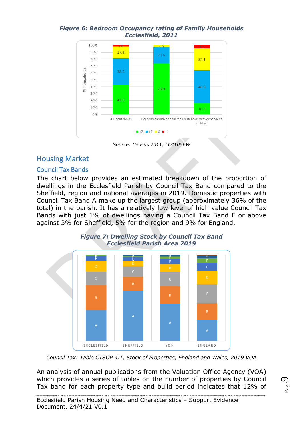#### *Figure 6: Bedroom Occupancy rating of Family Households Ecclesfield, 2011*



*Source: Census 2011, LC4105EW*

# <span id="page-9-0"></span>Housing Market

### <span id="page-9-1"></span>Council Tax Bands

The chart below provides an estimated breakdown of the proportion of dwellings in the Ecclesfield Parish by Council Tax Band compared to the Sheffield, region and national averages in 2019. Domestic properties with Council Tax Band A make up the largest group (approximately 36% of the total) in the parish. It has a relatively low level of high value Council Tax Bands with just 1% of dwellings having a Council Tax Band F or above against 3% for Sheffield, 5% for the region and 9% for England.



#### *Figure 7: Dwelling Stock by Council Tax Band Ecclesfield Parish Area 2019*

*Council Tax: Table CTSOP 4.1, Stock of Properties, England and Wales, 2019 VOA*

An analysis of annual publications from the Valuation Office Agency (VOA) which provides a series of tables on the number of properties by Council Tax band for each property type and build period indicates that 12% of

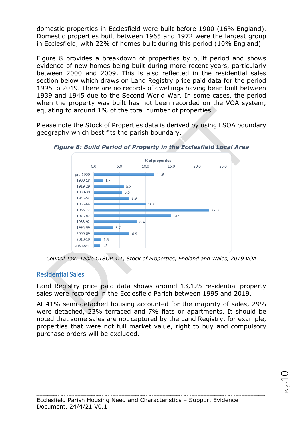domestic properties in Ecclesfield were built before 1900 (16% England). Domestic properties built between 1965 and 1972 were the largest group in Ecclesfield, with 22% of homes built during this period (10% England).

Figure 8 provides a breakdown of properties by built period and shows evidence of new homes being built during more recent years, particularly between 2000 and 2009. This is also reflected in the residential sales section below which draws on Land Registry price paid data for the period 1995 to 2019. There are no records of dwellings having been built between 1939 and 1945 due to the Second World War. In some cases, the period when the property was built has not been recorded on the VOA system. equating to around 1% of the total number of properties.

Please note the Stock of Properties data is derived by using LSOA boundary geography which best fits the parish boundary.



*Figure 8: Build Period of Property in the Ecclesfield Local Area*

*Council Tax: Table CTSOP 4.1, Stock of Properties, England and Wales, 2019 VOA*

### <span id="page-10-0"></span>Residential Sales

Land Registry price paid data shows around 13,125 residential property sales were recorded in the Ecclesfield Parish between 1995 and 2019.

At 41% semi-detached housing accounted for the majority of sales, 29% were detached, 23% terraced and 7% flats or apartments. It should be noted that some sales are not captured by the Land Registry, for example, properties that were not full market value, right to buy and compulsory purchase orders will be excluded.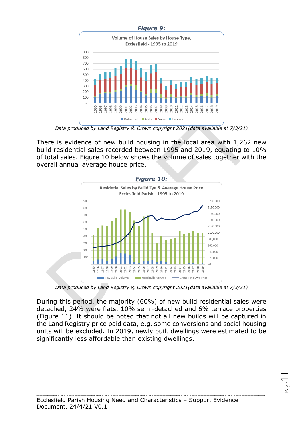

*Data produced by Land Registry © Crown copyright 2021(data available at 7/3/21)*

There is evidence of new build housing in the local area with 1,262 new build residential sales recorded between 1995 and 2019, equating to 10% of total sales. Figure 10 below shows the volume of sales together with the overall annual average house price.



*Data produced by Land Registry © Crown copyright 2021(data available at 7/3/21)*

During this period, the majority (60%) of new build residential sales were detached, 24% were flats, 10% semi-detached and 6% terrace properties (Figure 11). It should be noted that not all new builds will be captured in the Land Registry price paid data, e.g. some conversions and social housing units will be excluded. In 2019, newly built dwellings were estimated to be significantly less affordable than existing dwellings.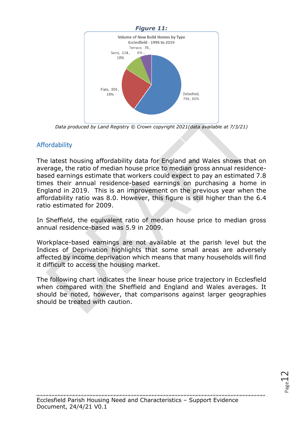

*Data produced by Land Registry © Crown copyright 2021(data available at 7/3/21)*

## <span id="page-12-0"></span>Affordability

The latest housing affordability data for England and Wales shows that on average, the ratio of median house price to median gross annual residencebased earnings estimate that workers could expect to pay an estimated 7.8 times their annual residence-based earnings on purchasing a home in England in 2019. This is an improvement on the previous year when the affordability ratio was 8.0. However, this figure is still higher than the 6.4 ratio estimated for 2009.

In Sheffield, the equivalent ratio of median house price to median gross annual residence-based was 5.9 in 2009.

Workplace-based earnings are not available at the parish level but the Indices of Deprivation highlights that some small areas are adversely affected by income deprivation which means that many households will find it difficult to access the housing market.

The following chart indicates the linear house price trajectory in Ecclesfield when compared with the Sheffield and England and Wales averages. It should be noted, however, that comparisons against larger geographies should be treated with caution.

 $P_{\rm age}12$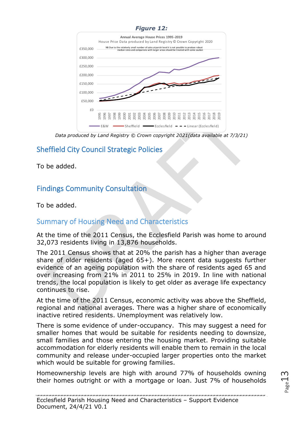#### *Figure 12:*



*Data produced by Land Registry © Crown copyright 2021(data available at 7/3/21)*

# <span id="page-13-0"></span>Sheffield City Council Strategic Policies

To be added.

# <span id="page-13-1"></span>Findings Community Consultation

To be added.

# <span id="page-13-2"></span>Summary of Housing Need and Characteristics

At the time of the 2011 Census, the Ecclesfield Parish was home to around 32,073 residents living in 13,876 households.

The 2011 Census shows that at 20% the parish has a higher than average share of older residents (aged 65+). More recent data suggests further evidence of an ageing population with the share of residents aged 65 and over increasing from 21% in 2011 to 25% in 2019. In line with national trends, the local population is likely to get older as average life expectancy continues to rise.

At the time of the 2011 Census, economic activity was above the Sheffield, regional and national averages. There was a higher share of economically inactive retired residents. Unemployment was relatively low.

There is some evidence of under-occupancy. This may suggest a need for smaller homes that would be suitable for residents needing to downsize, small families and those entering the housing market. Providing suitable accommodation for elderly residents will enable them to remain in the local community and release under-occupied larger properties onto the market which would be suitable for growing families.

Homeownership levels are high with around 77% of households owning their homes outright or with a mortgage or loan. Just 7% of households